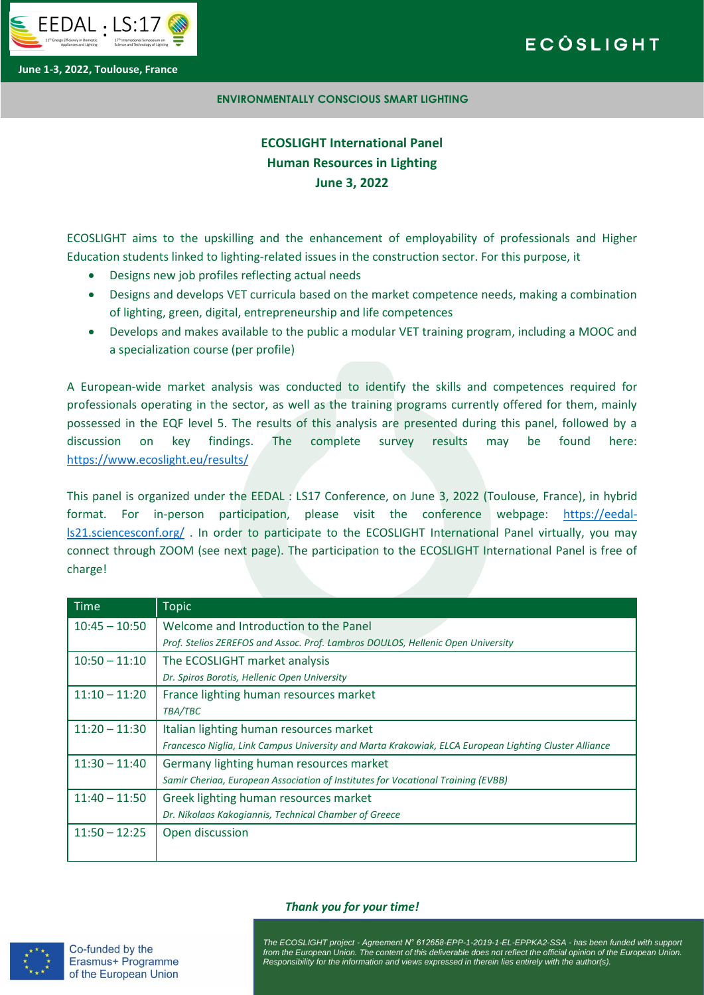

# **ECÓSLIGHT**

**June 1-3, 2022, Toulouse, France**

### **ENVIRONMENTALLY CONSCIOUS SMART LIGHTING**

## **ECOSLIGHT International Panel Human Resources in Lighting June 3, 2022**

ECOSLIGHT aims to the upskilling and the enhancement of employability of professionals and Higher Education students linked to lighting-related issues in the construction sector. For this purpose, it

- Designs new job profiles reflecting actual needs
- Designs and develops VET curricula based on the market competence needs, making a combination of lighting, green, digital, entrepreneurship and life competences
- Develops and makes available to the public a modular VET training program, including a MOOC and a specialization course (per profile)

A European-wide market analysis was conducted to identify the skills and competences required for professionals operating in the sector, as well as the training programs currently offered for them, mainly possessed in the EQF level 5. The results of this analysis are presented during this panel, followed by a discussion on key findings. The complete survey results may be found here: <https://www.ecoslight.eu/results/>

This panel is organized under the EEDAL : LS17 Conference, on June 3, 2022 (Toulouse, France), in hybrid format. For in-person participation, please visit the conference webpage: [https://eedal](https://eedal-ls21.sciencesconf.org/)[ls21.sciencesconf.org/](https://eedal-ls21.sciencesconf.org/) . In order to participate to the ECOSLIGHT International Panel virtually, you may connect through ZOOM (see next page). The participation to the ECOSLIGHT International Panel is free of charge!

| <b>Time</b>     | <b>Topic</b>                                                                                          |
|-----------------|-------------------------------------------------------------------------------------------------------|
| $10:45 - 10:50$ | Welcome and Introduction to the Panel                                                                 |
|                 | Prof. Stelios ZEREFOS and Assoc. Prof. Lambros DOULOS, Hellenic Open University                       |
| $10:50 - 11:10$ | The ECOSLIGHT market analysis                                                                         |
|                 | Dr. Spiros Borotis, Hellenic Open University                                                          |
| $11:10 - 11:20$ | France lighting human resources market                                                                |
|                 | TBA/TBC                                                                                               |
| $11:20 - 11:30$ | Italian lighting human resources market                                                               |
|                 | Francesco Niglia, Link Campus University and Marta Krakowiak, ELCA European Lighting Cluster Alliance |
| $11:30 - 11:40$ | Germany lighting human resources market                                                               |
|                 | Samir Cheriaa, European Association of Institutes for Vocational Training (EVBB)                      |
| $11:40 - 11:50$ | Greek lighting human resources market                                                                 |
|                 | Dr. Nikolaos Kakogiannis, Technical Chamber of Greece                                                 |
| $11:50 - 12:25$ | Open discussion                                                                                       |
|                 |                                                                                                       |



Co-funded by the Erasmus+ Programme of the European Union

### *Thank you for your time!*

from the European Union. The content of this deliverable does not reflect the official opinion of the European Union.<br>Responsibility for the information and views expressed in therein lies entirely with the author(s) *The ECOSLIGHT project - Agreement N° 612658-EPP-1-2019-1-EL-EPPKA2-SSA - has been funded with support Responsibility for the information and views expressed in therein lies entirely with the author(s).*